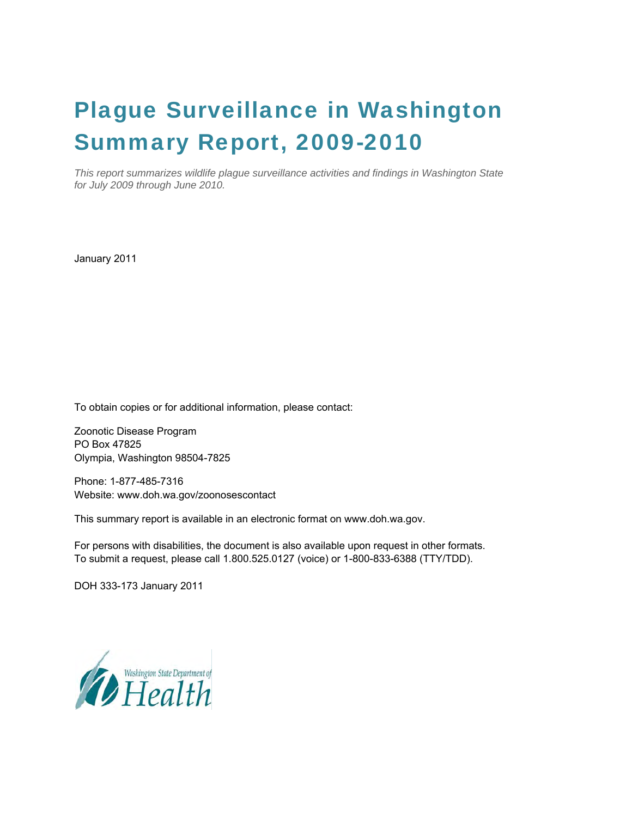# Plague Surveillance in Washington Summary Report, 2009-2010

*This report summarizes wildlife plague surveillance activities and findings in Washington State for July 2009 through June 2010.* 

January 2011

To obtain copies or for additional information, please contact:

Zoonotic Disease Program PO Box 47825 Olympia, Washington 98504-7825

Phone: 1-877-485-7316 Website: [www.doh.wa.gov/zoonosescontact](http://www.doh.wa.gov/zoonosescontact)

This summary report is available in an electronic format on [www.doh.wa.gov](http://www.doh.wa.gov/).

For persons with disabilities, the document is also available upon request in other formats. To submit a request, please call 1.800.525.0127 (voice) or 1-800-833-6388 (TTY/TDD).

DOH 333-173 January 2011

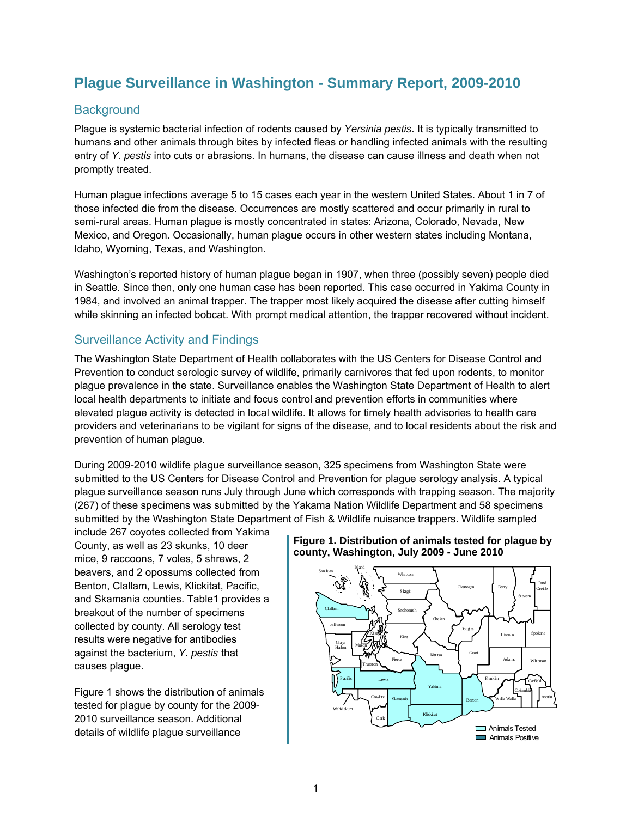## **Plague Surveillance in Washington - Summary Report, 2009-2010**

## **Background**

Plague is systemic bacterial infection of rodents caused by *Yersinia pestis*. It is typically transmitted to humans and other animals through bites by infected fleas or handling infected animals with the resulting entry of *Y. pestis* into cuts or abrasions. In humans, the disease can cause illness and death when not promptly treated.

Human plague infections average 5 to 15 cases each year in the western United States. About 1 in 7 of those infected die from the disease. Occurrences are mostly scattered and occur primarily in rural to semi-rural areas. Human plague is mostly concentrated in states: Arizona, Colorado, Nevada, New Mexico, and Oregon. Occasionally, human plague occurs in other western states including Montana, Idaho, Wyoming, Texas, and Washington.

Washington's reported history of human plague began in 1907, when three (possibly seven) people died in Seattle. Since then, only one human case has been reported. This case occurred in Yakima County in 1984, and involved an animal trapper. The trapper most likely acquired the disease after cutting himself while skinning an infected bobcat. With prompt medical attention, the trapper recovered without incident.

### Surveillance Activity and Findings

The Washington State Department of Health collaborates with the US Centers for Disease Control and Prevention to conduct serologic survey of wildlife, primarily carnivores that fed upon rodents, to monitor plague prevalence in the state. Surveillance enables the Washington State Department of Health to alert local health departments to initiate and focus control and prevention efforts in communities where elevated plague activity is detected in local wildlife. It allows for timely health advisories to health care providers and veterinarians to be vigilant for signs of the disease, and to local residents about the risk and prevention of human plague.

During 2009-2010 wildlife plague surveillance season, 325 specimens from Washington State were submitted to the US Centers for Disease Control and Prevention for plague serology analysis. A typical plague surveillance season runs July through June which corresponds with trapping season. The majority (267) of these specimens was submitted by the Yakama Nation Wildlife Department and 58 specimens submitted by the Washington State Department of Fish & Wildlife nuisance trappers. Wildlife sampled

include 267 coyotes collected from Yakima County, as well as 23 skunks, 10 deer mice, 9 raccoons, 7 voles, 5 shrews, 2 beavers, and 2 opossums collected from Benton, Clallam, Lewis, Klickitat, Pacific, and Skamania counties. Table1 provides a breakout of the number of specimens collected by county. All serology test results were negative for antibodies against the bacterium, *Y. pestis* that causes plague.

Figure 1 shows the distribution of animals tested for plague by county for the 2009- 2010 surveillance season. Additional details of wildlife plague surveillance

#### **Figure 1. Distribution of animals tested for plague by county, Washington, July 2009 - June 2010**

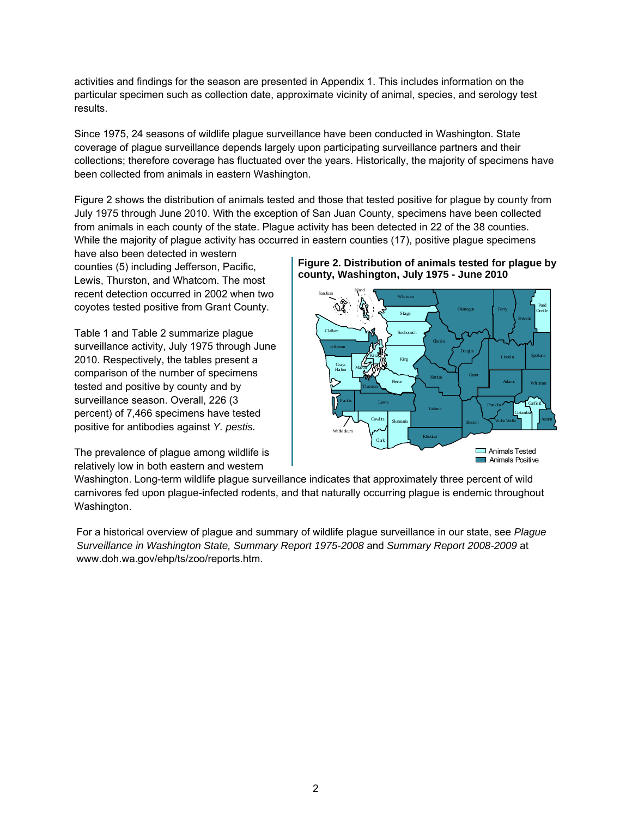activities and findings for the season are presented in Appendix 1. This includes information on the particular specimen such as collection date, approximate vicinity of animal, species, and serology test results.

Since 1975, 24 seasons of wildlife plague surveillance have been conducted in Washington. State coverage of plague surveillance depends largely upon participating surveillance partners and their collections; therefore coverage has fluctuated over the years. Historically, the majority of specimens have been collected from animals in eastern Washington.

Figure 2 shows the distribution of animals tested and those that tested positive for plague by county from July 1975 through June 2010. With the exception of San Juan County, specimens have been collected from animals in each county of the state. Plague activity has been detected in 22 of the 38 counties. While the majority of plague activity has occurred in eastern counties (17), positive plague specimens

have also been detected in western counties (5) including Jefferson, Pacific, Lewis, Thurston, and Whatcom. The most recent detection occurred in 2002 when two coyotes tested positive from Grant County.

Table 1 and Table 2 summarize plague surveillance activity, July 1975 through June 2010. Respectively, the tables present a comparison of the number of specimens tested and positive by county and by surveillance season. Overall, 226 (3 percent) of 7,466 specimens have tested positive for antibodies against *Y. pestis.* 

The prevalence of plague among wildlife is relatively low in both eastern and western





Washington. Long-term wildlife plague surveillance indicates that approximately three percent of wild carnivores fed upon plague-infected rodents, and that naturally occurring plague is endemic throughout Washington.

For a historical overview of plague and summary of wildlife plague surveillance in our state, see *Plague Surveillance in Washington State, Summary Report 1975-2008* and *Summary Report 2008-2009* at www.doh.wa.gov/ehp/ts/zoo/reports.htm.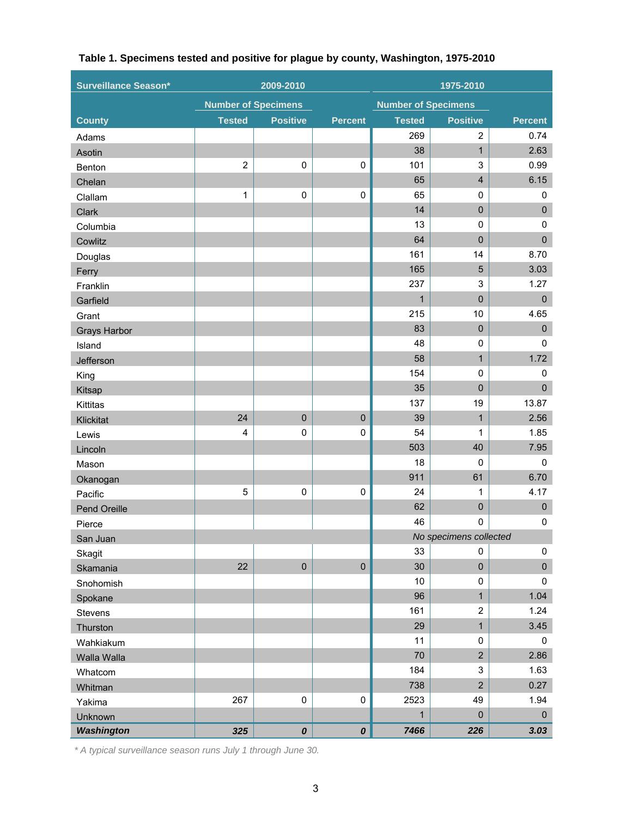| <b>Surveillance Season*</b><br>1975-2010<br>2009-2010 |                            |                    |                    |                            |                         |                |
|-------------------------------------------------------|----------------------------|--------------------|--------------------|----------------------------|-------------------------|----------------|
|                                                       | <b>Number of Specimens</b> |                    |                    | <b>Number of Specimens</b> |                         |                |
| <b>County</b>                                         | <b>Tested</b>              | <b>Positive</b>    | <b>Percent</b>     | <b>Tested</b>              | <b>Positive</b>         | <b>Percent</b> |
| Adams                                                 |                            |                    |                    | 269                        | $\overline{2}$          | 0.74           |
| Asotin                                                |                            |                    |                    | 38                         | $\mathbf{1}$            | 2.63           |
| Benton                                                | $\overline{2}$             | $\pmb{0}$          | $\pmb{0}$          | 101                        | 3                       | 0.99           |
| Chelan                                                |                            |                    |                    | 65                         | $\overline{\mathbf{4}}$ | 6.15           |
| Clallam                                               | $\mathbf{1}$               | $\pmb{0}$          | 0                  | 65                         | 0                       | 0              |
| Clark                                                 |                            |                    |                    | 14                         | $\overline{0}$          | $\pmb{0}$      |
| Columbia                                              |                            |                    |                    | 13                         | $\mathbf 0$             | $\mathbf 0$    |
| Cowlitz                                               |                            |                    |                    | 64                         | $\overline{0}$          | $\pmb{0}$      |
| Douglas                                               |                            |                    |                    | 161                        | 14                      | 8.70           |
| Ferry                                                 |                            |                    |                    | 165                        | $\overline{5}$          | 3.03           |
| Franklin                                              |                            |                    |                    | 237                        | 3                       | 1.27           |
| Garfield                                              |                            |                    |                    | $\mathbf{1}$               | $\overline{0}$          | $\pmb{0}$      |
| Grant                                                 |                            |                    |                    | 215                        | 10                      | 4.65           |
| <b>Grays Harbor</b>                                   |                            |                    |                    | 83                         | $\mathbf 0$             | $\pmb{0}$      |
| Island                                                |                            |                    |                    | 48                         | $\mathbf 0$             | $\mathbf 0$    |
| Jefferson                                             |                            |                    |                    | 58                         | $\mathbf{1}$            | 1.72           |
| King                                                  |                            |                    |                    | 154                        | $\mathbf 0$             | 0              |
| Kitsap                                                |                            |                    |                    | 35                         | $\overline{0}$          | $\pmb{0}$      |
| Kittitas                                              |                            |                    |                    | 137                        | 19                      | 13.87          |
| Klickitat                                             | 24                         | $\mathbf 0$        | $\pmb{0}$          | 39                         | $\mathbf{1}$            | 2.56           |
| Lewis                                                 | $\overline{4}$             | $\pmb{0}$          | 0                  | 54                         | 1                       | 1.85           |
| Lincoln                                               |                            |                    |                    | 503                        | 40                      | 7.95           |
| Mason                                                 |                            |                    |                    | 18                         | $\mathbf 0$             | $\mathbf 0$    |
| Okanogan                                              |                            |                    |                    | 911                        | 61                      | 6.70           |
| Pacific                                               | 5                          | $\pmb{0}$          | $\pmb{0}$          | 24                         | 1                       | 4.17           |
| Pend Oreille                                          |                            |                    |                    | 62                         | 0                       | $\pmb{0}$      |
| Pierce                                                |                            |                    |                    | 46                         | 0                       | $\mathbf 0$    |
| San Juan                                              |                            |                    |                    |                            | No specimens collected  |                |
| Skagit                                                |                            |                    |                    | 33                         | 0                       | 0              |
| Skamania                                              | 22                         | $\mathbf 0$        | $\pmb{0}$          | 30                         | $\mathbf 0$             | $\pmb{0}$      |
| Snohomish                                             |                            |                    |                    | 10                         | 0                       | 0              |
| Spokane                                               |                            |                    |                    | 96                         | $\mathbf{1}$            | 1.04           |
| Stevens                                               |                            |                    |                    | 161                        | $\overline{2}$          | 1.24           |
| Thurston                                              |                            |                    |                    | 29                         | $\mathbf{1}$            | 3.45           |
| Wahkiakum                                             |                            |                    |                    | 11                         | 0                       | $\mathbf 0$    |
| Walla Walla                                           |                            |                    |                    | 70                         | $\overline{2}$          | 2.86           |
| Whatcom                                               |                            |                    |                    | 184                        | 3                       | 1.63           |
| Whitman                                               |                            |                    |                    | 738                        | $\overline{2}$          | 0.27           |
| Yakima                                                | 267                        | $\pmb{0}$          | 0                  | 2523                       | 49                      | 1.94           |
| Unknown                                               |                            |                    |                    | $\mathbf{1}$               | $\mathbf 0$             | $\pmb{0}$      |
| <b>Washington</b>                                     | 325                        | $\pmb{\mathit{O}}$ | $\pmb{\mathit{O}}$ | 7466                       | 226                     | 3.03           |

## **Table 1. Specimens tested and positive for plague by county, Washington, 1975-2010**

*\* A typical surveillance season runs July 1 through June 30.*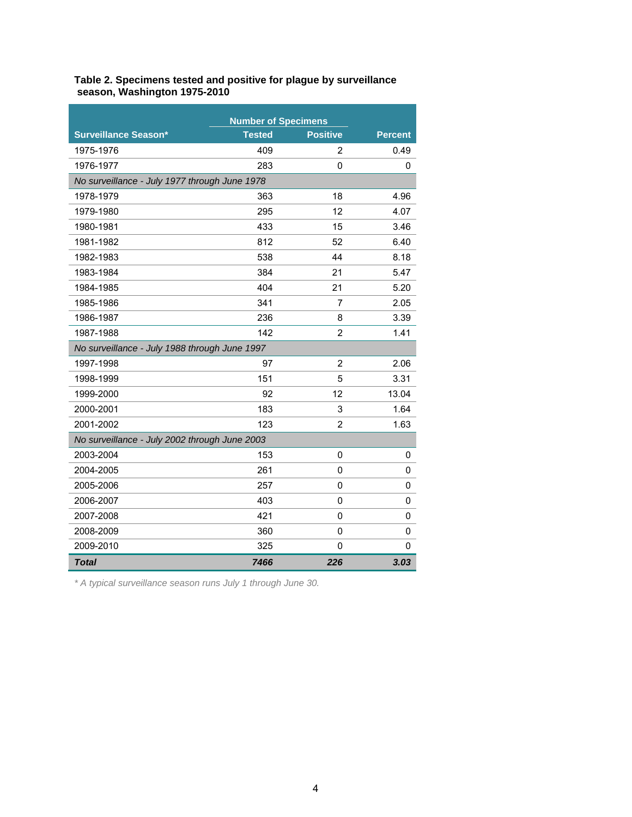| Table 2. Specimens tested and positive for plague by surveillance |
|-------------------------------------------------------------------|
| season, Washington 1975-2010                                      |

|                                               | <b>Number of Specimens</b> |                 |                |  |  |  |  |  |  |
|-----------------------------------------------|----------------------------|-----------------|----------------|--|--|--|--|--|--|
| <b>Surveillance Season*</b>                   | Tested                     | <b>Positive</b> | <b>Percent</b> |  |  |  |  |  |  |
| 1975-1976                                     | 409                        | 2               | 0.49           |  |  |  |  |  |  |
| 1976-1977                                     | 283                        | 0               | 0              |  |  |  |  |  |  |
| No surveillance - July 1977 through June 1978 |                            |                 |                |  |  |  |  |  |  |
| 1978-1979                                     | 363                        | 18              | 4.96           |  |  |  |  |  |  |
| 1979-1980                                     | 295                        | 12              | 4.07           |  |  |  |  |  |  |
| 1980-1981                                     | 433                        | 15              | 3.46           |  |  |  |  |  |  |
| 1981-1982                                     | 812                        | 52              | 6.40           |  |  |  |  |  |  |
| 1982-1983                                     | 538                        | 44              | 8.18           |  |  |  |  |  |  |
| 1983-1984                                     | 384                        | 21              | 5.47           |  |  |  |  |  |  |
| 1984-1985                                     | 404                        | 21              | 5.20           |  |  |  |  |  |  |
| 1985-1986                                     | 341                        | $\overline{7}$  | 2.05           |  |  |  |  |  |  |
| 1986-1987                                     | 236                        | 8               | 3.39           |  |  |  |  |  |  |
| 1987-1988                                     | 142                        | $\overline{2}$  | 1.41           |  |  |  |  |  |  |
| No surveillance - July 1988 through June 1997 |                            |                 |                |  |  |  |  |  |  |
| 1997-1998                                     | 97                         | 2               | 2.06           |  |  |  |  |  |  |
| 1998-1999                                     | 151                        | 5               | 3.31           |  |  |  |  |  |  |
| 1999-2000                                     | 92                         | 12              | 13.04          |  |  |  |  |  |  |
| 2000-2001                                     | 183                        | 3               | 1.64           |  |  |  |  |  |  |
| 2001-2002                                     | 123                        | $\overline{2}$  | 1.63           |  |  |  |  |  |  |
| No surveillance - July 2002 through June 2003 |                            |                 |                |  |  |  |  |  |  |
| 2003-2004                                     | 153                        | 0               | 0              |  |  |  |  |  |  |
| 2004-2005                                     | 261                        | 0               | 0              |  |  |  |  |  |  |
| 2005-2006                                     | 257                        | 0               | 0              |  |  |  |  |  |  |
| 2006-2007                                     | 403                        | $\mathbf 0$     | 0              |  |  |  |  |  |  |
| 2007-2008                                     | 421                        | 0               | 0              |  |  |  |  |  |  |
| 2008-2009                                     | 360                        | 0               | 0              |  |  |  |  |  |  |
| 2009-2010                                     | 325                        | 0               | 0              |  |  |  |  |  |  |
| <b>Total</b>                                  | 7466                       | 226             | 3.03           |  |  |  |  |  |  |

*\* A typical surveillance season runs July 1 through June 30.*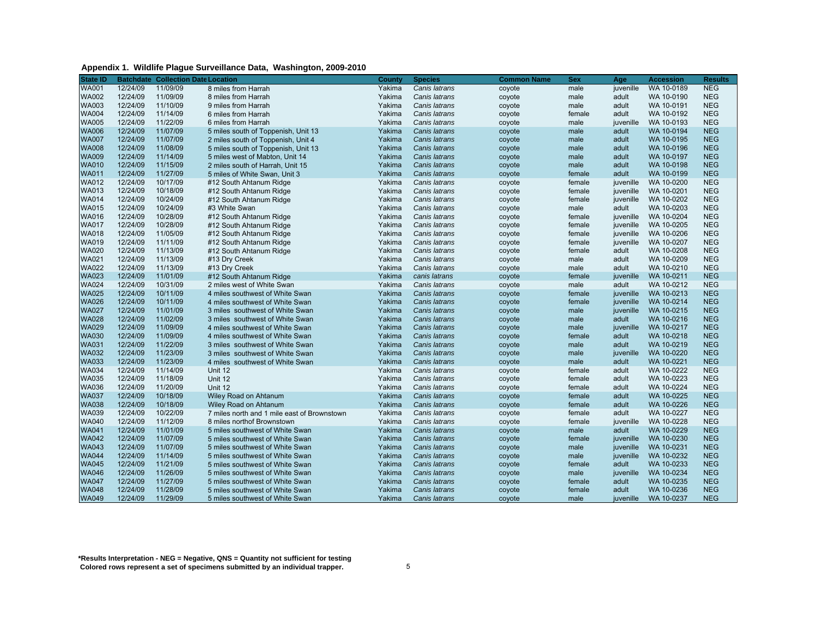| Appendix 1. Wildlife Plague Surveillance Data, Washington, 2009-2010 |  |
|----------------------------------------------------------------------|--|
|                                                                      |  |

| <b>State ID</b> |          | <b>Batchdate Collection Date Location</b> |                                             | County | <b>Species</b> | Common Name | <b>Sex</b> | Age       | <b>Accession</b> | <b>Results</b> |
|-----------------|----------|-------------------------------------------|---------------------------------------------|--------|----------------|-------------|------------|-----------|------------------|----------------|
| <b>WA001</b>    | 12/24/09 | 11/09/09                                  | 8 miles from Harrah                         | Yakima | Canis latrans  | coyote      | male       | juvenille | WA 10-0189       | <b>NEG</b>     |
| <b>WA002</b>    | 12/24/09 | 11/09/09                                  | 8 miles from Harrah                         | Yakima | Canis latrans  | coyote      | male       | adult     | WA 10-0190       | <b>NEG</b>     |
| <b>WA003</b>    | 12/24/09 | 11/10/09                                  | 9 miles from Harrah                         | Yakima | Canis latrans  | coyote      | male       | adult     | WA 10-0191       | <b>NEG</b>     |
| <b>WA004</b>    | 12/24/09 | 11/14/09                                  | 6 miles from Harrah                         | Yakima | Canis latrans  | coyote      | female     | adult     | WA 10-0192       | <b>NEG</b>     |
| <b>WA005</b>    | 12/24/09 | 11/22/09                                  | 6 miles from Harrah                         | Yakima | Canis latrans  | coyote      | male       | juvenille | WA 10-0193       | <b>NEG</b>     |
| <b>WA006</b>    | 12/24/09 | 11/07/09                                  | 5 miles south of Toppenish, Unit 13         | Yakima | Canis latrans  | coyote      | male       | adult     | WA 10-0194       | <b>NEG</b>     |
| <b>WA007</b>    | 12/24/09 | 11/07/09                                  | 2 miles south of Toppenish, Unit 4          | Yakima | Canis latrans  | coyote      | male       | adult     | WA 10-0195       | <b>NEG</b>     |
| <b>WA008</b>    | 12/24/09 | 11/08/09                                  | 5 miles south of Toppenish, Unit 13         | Yakima | Canis latrans  | coyote      | male       | adult     | WA 10-0196       | <b>NEG</b>     |
| <b>WA009</b>    | 12/24/09 | 11/14/09                                  | 5 miles west of Mabton, Unit 14             | Yakima | Canis latrans  | coyote      | male       | adult     | WA 10-0197       | <b>NEG</b>     |
| <b>WA010</b>    | 12/24/09 | 11/15/09                                  | 2 miles south of Harrah, Unit 15            | Yakima | Canis latrans  | coyote      | male       | adult     | WA 10-0198       | <b>NEG</b>     |
| <b>WA011</b>    | 12/24/09 | 11/27/09                                  | 5 miles of White Swan, Unit 3               | Yakima | Canis latrans  | coyote      | female     | adult     | WA 10-0199       | <b>NEG</b>     |
| WA012           | 12/24/09 | 10/17/09                                  | #12 South Ahtanum Ridge                     | Yakima | Canis latrans  | coyote      | female     | juvenille | WA 10-0200       | <b>NEG</b>     |
| <b>WA013</b>    | 12/24/09 | 10/18/09                                  | #12 South Ahtanum Ridge                     | Yakima | Canis latrans  | coyote      | female     | juvenille | WA 10-0201       | <b>NEG</b>     |
| <b>WA014</b>    | 12/24/09 | 10/24/09                                  | #12 South Ahtanum Ridge                     | Yakima | Canis latrans  | coyote      | female     | juvenille | WA 10-0202       | <b>NEG</b>     |
| <b>WA015</b>    | 12/24/09 | 10/24/09                                  | #3 White Swan                               | Yakima | Canis latrans  | coyote      | male       | adult     | WA 10-0203       | <b>NEG</b>     |
| <b>WA016</b>    | 12/24/09 | 10/28/09                                  | #12 South Ahtanum Ridge                     | Yakima | Canis latrans  | coyote      | female     | juvenille | WA 10-0204       | <b>NEG</b>     |
| <b>WA017</b>    | 12/24/09 | 10/28/09                                  | #12 South Ahtanum Ridge                     | Yakima | Canis latrans  | coyote      | female     | juvenille | WA 10-0205       | <b>NEG</b>     |
| <b>WA018</b>    | 12/24/09 | 11/05/09                                  | #12 South Ahtanum Ridge                     | Yakima | Canis latrans  | coyote      | female     | juvenille | WA 10-0206       | <b>NEG</b>     |
| <b>WA019</b>    | 12/24/09 | 11/11/09                                  | #12 South Ahtanum Ridge                     | Yakima | Canis latrans  | coyote      | female     | juvenille | WA 10-0207       | <b>NEG</b>     |
| <b>WA020</b>    | 12/24/09 | 11/13/09                                  | #12 South Ahtanum Ridge                     | Yakima | Canis latrans  | coyote      | female     | adult     | WA 10-0208       | <b>NEG</b>     |
| <b>WA021</b>    | 12/24/09 | 11/13/09                                  | #13 Dry Creek                               | Yakima | Canis latrans  | coyote      | male       | adult     | WA 10-0209       | <b>NEG</b>     |
| <b>WA022</b>    | 12/24/09 | 11/13/09                                  | #13 Dry Creek                               | Yakima | Canis latrans  | coyote      | male       | adult     | WA 10-0210       | <b>NEG</b>     |
| <b>WA023</b>    | 12/24/09 | 11/01/09                                  | #12 South Ahtanum Ridge                     | Yakima | canis latrans  | coyote      | female     | juvenille | WA 10-0211       | <b>NEG</b>     |
| <b>WA024</b>    | 12/24/09 | 10/31/09                                  | 2 miles west of White Swan                  | Yakima | Canis latrans  | coyote      | male       | adult     | WA 10-0212       | <b>NEG</b>     |
| <b>WA025</b>    | 12/24/09 | 10/11/09                                  | 4 miles southwest of White Swan             | Yakima | Canis latrans  | coyote      | female     | juvenille | WA 10-0213       | <b>NEG</b>     |
| <b>WA026</b>    | 12/24/09 | 10/11/09                                  | 4 miles southwest of White Swan             | Yakima | Canis latrans  | coyote      | female     | juvenille | WA 10-0214       | <b>NEG</b>     |
| <b>WA027</b>    | 12/24/09 | 11/01/09                                  | 3 miles southwest of White Swan             | Yakima | Canis latrans  | coyote      | male       | juvenille | WA 10-0215       | <b>NEG</b>     |
| <b>WA028</b>    | 12/24/09 | 11/02/09                                  | 3 miles southwest of White Swan             | Yakima | Canis latrans  | coyote      | male       | adult     | WA 10-0216       | <b>NEG</b>     |
| <b>WA029</b>    | 12/24/09 | 11/09/09                                  | 4 miles southwest of White Swan             | Yakima | Canis latrans  | coyote      | male       | juvenille | WA 10-0217       | <b>NEG</b>     |
| <b>WA030</b>    | 12/24/09 | 11/09/09                                  | 4 miles southwest of White Swan             | Yakima | Canis latrans  | coyote      | female     | adult     | WA 10-0218       | <b>NEG</b>     |
| <b>WA031</b>    | 12/24/09 | 11/22/09                                  | 3 miles southwest of White Swan             | Yakima | Canis latrans  | coyote      | male       | adult     | WA 10-0219       | <b>NEG</b>     |
| <b>WA032</b>    | 12/24/09 | 11/23/09                                  | 3 miles southwest of White Swan             | Yakima | Canis latrans  | coyote      | male       | juvenille | WA 10-0220       | <b>NEG</b>     |
| <b>WA033</b>    | 12/24/09 | 11/23/09                                  | 4 miles southwest of White Swan             | Yakima | Canis latrans  | coyote      | male       | adult     | WA 10-0221       | <b>NEG</b>     |
| <b>WA034</b>    | 12/24/09 | 11/14/09                                  | Unit 12                                     | Yakima | Canis latrans  | coyote      | female     | adult     | WA 10-0222       | <b>NEG</b>     |
| <b>WA035</b>    | 12/24/09 | 11/18/09                                  | Unit 12                                     | Yakima | Canis latrans  | coyote      | female     | adult     | WA 10-0223       | <b>NEG</b>     |
| <b>WA036</b>    | 12/24/09 | 11/20/09                                  | Unit 12                                     | Yakima | Canis latrans  | coyote      | female     | adult     | WA 10-0224       | <b>NEG</b>     |
| <b>WA037</b>    | 12/24/09 | 10/18/09                                  | Wiley Road on Ahtanum                       | Yakima | Canis latrans  | coyote      | female     | adult     | WA 10-0225       | <b>NEG</b>     |
| <b>WA038</b>    | 12/24/09 | 10/18/09                                  | Wiley Road on Ahtanum                       | Yakima | Canis latrans  | coyote      | female     | adult     | WA 10-0226       | <b>NEG</b>     |
| <b>WA039</b>    | 12/24/09 | 10/22/09                                  | 7 miles north and 1 mile east of Brownstown | Yakima | Canis latrans  | coyote      | female     | adult     | WA 10-0227       | <b>NEG</b>     |
| <b>WA040</b>    | 12/24/09 | 11/12/09                                  | 8 miles northof Brownstown                  | Yakima | Canis latrans  | coyote      | female     | juvenille | WA 10-0228       | <b>NEG</b>     |
| <b>WA041</b>    | 12/24/09 | 11/01/09                                  | 5 miles southwest of White Swan             | Yakima | Canis latrans  | coyote      | male       | adult     | WA 10-0229       | <b>NEG</b>     |
| <b>WA042</b>    | 12/24/09 | 11/07/09                                  | 5 miles southwest of White Swan             | Yakima | Canis latrans  | coyote      | female     | juvenille | WA 10-0230       | <b>NEG</b>     |
| <b>WA043</b>    | 12/24/09 | 11/07/09                                  | 5 miles southwest of White Swan             | Yakima | Canis latrans  | coyote      | male       | juvenille | WA 10-0231       | <b>NEG</b>     |
| <b>WA044</b>    | 12/24/09 | 11/14/09                                  | 5 miles southwest of White Swan             | Yakima | Canis latrans  | coyote      | male       | juvenille | WA 10-0232       | <b>NEG</b>     |
| <b>WA045</b>    | 12/24/09 | 11/21/09                                  | 5 miles southwest of White Swan             | Yakima | Canis latrans  | coyote      | female     | adult     | WA 10-0233       | <b>NEG</b>     |
| <b>WA046</b>    | 12/24/09 | 11/26/09                                  | 5 miles southwest of White Swan             | Yakima | Canis latrans  | coyote      | male       | juvenille | WA 10-0234       | <b>NEG</b>     |
| <b>WA047</b>    | 12/24/09 | 11/27/09                                  | 5 miles southwest of White Swan             | Yakima | Canis latrans  | coyote      | female     | adult     | WA 10-0235       | <b>NEG</b>     |
| <b>WA048</b>    | 12/24/09 | 11/28/09                                  | 5 miles southwest of White Swan             | Yakima | Canis latrans  | coyote      | female     | adult     | WA 10-0236       | <b>NEG</b>     |
| <b>WA049</b>    | 12/24/09 | 11/29/09                                  | 5 miles southwest of White Swan             | Yakima | Canis latrans  | coyote      | male       | juvenille | WA 10-0237       | <b>NEG</b>     |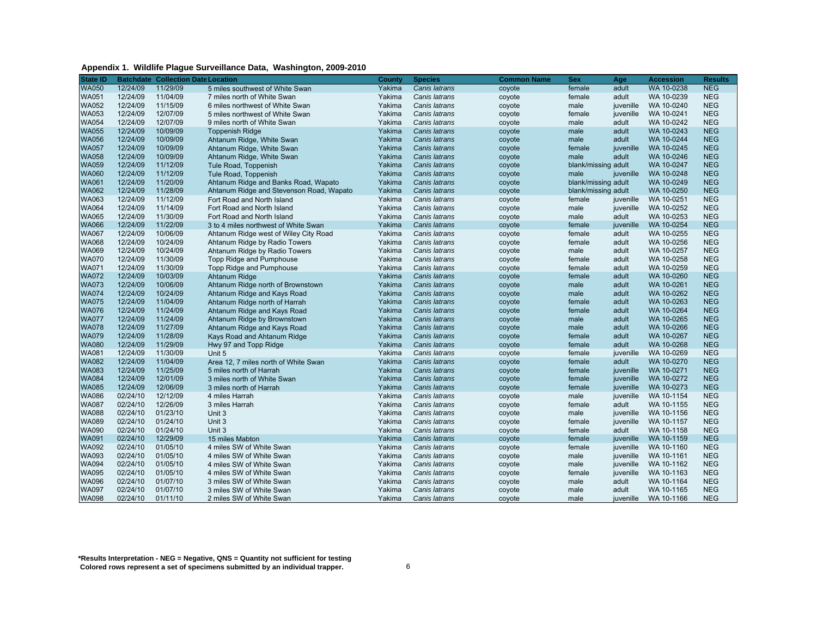#### **Appendix 1. Wildlife Plague Surveillance Data, Washington, 2009-2010**

| <b>State ID</b> |          | <b>Batchdate Collection Date Location</b> |                                          | County | <b>Species</b> | Common Name | <b>Sex</b>          | Age       | <b>Accession</b> | <b>Results</b> |
|-----------------|----------|-------------------------------------------|------------------------------------------|--------|----------------|-------------|---------------------|-----------|------------------|----------------|
| <b>WA050</b>    | 12/24/09 | 11/29/09                                  | 5 miles southwest of White Swan          | Yakima | Canis latrans  | coyote      | female              | adult     | WA 10-0238       | <b>NEG</b>     |
| <b>WA051</b>    | 12/24/09 | 11/04/09                                  | 7 miles north of White Swan              | Yakima | Canis latrans  | coyote      | female              | adult     | WA 10-0239       | <b>NEG</b>     |
| <b>WA052</b>    | 12/24/09 | 11/15/09                                  | 6 miles northwest of White Swan          | Yakima | Canis latrans  | coyote      | male                | juvenille | WA 10-0240       | <b>NEG</b>     |
| <b>WA053</b>    | 12/24/09 | 12/07/09                                  | 5 miles northwest of White Swan          | Yakima | Canis latrans  | coyote      | female              | juvenille | WA 10-0241       | <b>NEG</b>     |
| <b>WA054</b>    | 12/24/09 | 12/07/09                                  | 9 miles north of White Swan              | Yakima | Canis latrans  | coyote      | male                | adult     | WA 10-0242       | <b>NEG</b>     |
| <b>WA055</b>    | 12/24/09 | 10/09/09                                  | <b>Toppenish Ridge</b>                   | Yakima | Canis latrans  | coyote      | male                | adult     | WA 10-0243       | <b>NEG</b>     |
| <b>WA056</b>    | 12/24/09 | 10/09/09                                  | Ahtanum Ridge, White Swan                | Yakima | Canis latrans  | coyote      | male                | adult     | WA 10-0244       | <b>NEG</b>     |
| <b>WA057</b>    | 12/24/09 | 10/09/09                                  | Ahtanum Ridge, White Swan                | Yakima | Canis latrans  | coyote      | female              | juvenille | WA 10-0245       | <b>NEG</b>     |
| <b>WA058</b>    | 12/24/09 | 10/09/09                                  | Ahtanum Ridge, White Swan                | Yakima | Canis latrans  | coyote      | male                | adult     | WA 10-0246       | <b>NEG</b>     |
| <b>WA059</b>    | 12/24/09 | 11/12/09                                  | Tule Road, Toppenish                     | Yakima | Canis latrans  | coyote      | blank/missing adult |           | WA 10-0247       | <b>NEG</b>     |
| <b>WA060</b>    | 12/24/09 | 11/12/09                                  | Tule Road, Toppenish                     | Yakima | Canis latrans  | coyote      | male                | juvenille | WA 10-0248       | <b>NEG</b>     |
| <b>WA061</b>    | 12/24/09 | 11/20/09                                  | Ahtanum Ridge and Banks Road, Wapato     | Yakima | Canis latrans  | coyote      | blank/missing adult |           | WA 10-0249       | <b>NEG</b>     |
| <b>WA062</b>    | 12/24/09 | 11/28/09                                  | Ahtanum Ridge and Stevenson Road, Wapato | Yakima | Canis latrans  | coyote      | blank/missing adult |           | WA 10-0250       | <b>NEG</b>     |
| WA063           | 12/24/09 | 11/12/09                                  | Fort Road and North Island               | Yakima | Canis latrans  | coyote      | female              | juvenille | WA 10-0251       | <b>NEG</b>     |
| <b>WA064</b>    | 12/24/09 | 11/14/09                                  | Fort Road and North Island               | Yakima | Canis latrans  | coyote      | male                | juvenille | WA 10-0252       | <b>NEG</b>     |
| <b>WA065</b>    | 12/24/09 | 11/30/09                                  | Fort Road and North Island               | Yakima | Canis latrans  | coyote      | male                | adult     | WA 10-0253       | <b>NEG</b>     |
| <b>WA066</b>    | 12/24/09 | 11/22/09                                  | 3 to 4 miles northwest of White Swan     | Yakima | Canis latrans  | coyote      | female              | juvenille | WA 10-0254       | <b>NEG</b>     |
| <b>WA067</b>    | 12/24/09 | 10/06/09                                  | Ahtanum Ridge west of Wiley City Road    | Yakima | Canis latrans  | coyote      | female              | adult     | WA 10-0255       | <b>NEG</b>     |
| WA068           | 12/24/09 | 10/24/09                                  | Ahtanum Ridge by Radio Towers            | Yakima | Canis latrans  | coyote      | female              | adult     | WA 10-0256       | <b>NEG</b>     |
| <b>WA069</b>    | 12/24/09 | 10/24/09                                  | Ahtanum Ridge by Radio Towers            | Yakima | Canis latrans  | coyote      | male                | adult     | WA 10-0257       | <b>NEG</b>     |
| <b>WA070</b>    | 12/24/09 | 11/30/09                                  | Topp Ridge and Pumphouse                 | Yakima | Canis latrans  | coyote      | female              | adult     | WA 10-0258       | <b>NEG</b>     |
| <b>WA071</b>    | 12/24/09 | 11/30/09                                  | Topp Ridge and Pumphouse                 | Yakima | Canis latrans  | coyote      | female              | adult     | WA 10-0259       | <b>NEG</b>     |
| <b>WA072</b>    | 12/24/09 | 10/03/09                                  | Ahtanum Ridge                            | Yakima | Canis latrans  | coyote      | female              | adult     | WA 10-0260       | <b>NEG</b>     |
| <b>WA073</b>    | 12/24/09 | 10/06/09                                  | Ahtanum Ridge north of Brownstown        | Yakima | Canis latrans  | coyote      | male                | adult     | WA 10-0261       | <b>NEG</b>     |
| <b>WA074</b>    | 12/24/09 | 10/24/09                                  | Ahtanum Ridge and Kays Road              | Yakima | Canis latrans  | coyote      | male                | adult     | WA 10-0262       | <b>NEG</b>     |
| <b>WA075</b>    | 12/24/09 | 11/04/09                                  | Ahtanum Ridge north of Harrah            | Yakima | Canis latrans  | coyote      | female              | adult     | WA 10-0263       | <b>NEG</b>     |
| <b>WA076</b>    | 12/24/09 | 11/24/09                                  | Ahtanum Ridge and Kays Road              | Yakima | Canis latrans  | coyote      | female              | adult     | WA 10-0264       | <b>NEG</b>     |
| <b>WA077</b>    | 12/24/09 | 11/24/09                                  | Ahtanum Ridge by Brownstown              | Yakima | Canis latrans  | coyote      | male                | adult     | WA 10-0265       | <b>NEG</b>     |
| <b>WA078</b>    | 12/24/09 | 11/27/09                                  | Ahtanum Ridge and Kays Road              | Yakima | Canis latrans  | coyote      | male                | adult     | WA 10-0266       | <b>NEG</b>     |
| <b>WA079</b>    | 12/24/09 | 11/28/09                                  | Kays Road and Ahtanum Ridge              | Yakima | Canis latrans  | coyote      | female              | adult     | WA 10-0267       | <b>NEG</b>     |
| <b>WA080</b>    | 12/24/09 | 11/29/09                                  | Hwy 97 and Topp Ridge                    | Yakima | Canis latrans  | coyote      | female              | adult     | WA 10-0268       | <b>NEG</b>     |
| <b>WA081</b>    | 12/24/09 | 11/30/09                                  | Unit 5                                   | Yakima | Canis latrans  | coyote      | female              | juvenille | WA 10-0269       | <b>NEG</b>     |
| <b>WA082</b>    | 12/24/09 | 11/04/09                                  | Area 12, 7 miles north of White Swan     | Yakima | Canis latrans  | coyote      | female              | adult     | WA 10-0270       | <b>NEG</b>     |
| <b>WA083</b>    | 12/24/09 | 11/25/09                                  | 5 miles north of Harrah                  | Yakima | Canis latrans  | coyote      | female              | juvenille | WA 10-0271       | <b>NEG</b>     |
| <b>WA084</b>    | 12/24/09 | 12/01/09                                  | 3 miles north of White Swan              | Yakima | Canis latrans  | coyote      | female              | juvenille | WA 10-0272       | <b>NEG</b>     |
| <b>WA085</b>    | 12/24/09 | 12/06/09                                  | 3 miles north of Harrah                  | Yakima | Canis latrans  | coyote      | female              | juvenille | WA 10-0273       | <b>NEG</b>     |
| <b>WA086</b>    | 02/24/10 | 12/12/09                                  | 4 miles Harrah                           | Yakima | Canis latrans  | coyote      | male                | juvenille | WA 10-1154       | <b>NEG</b>     |
| <b>WA087</b>    | 02/24/10 | 12/26/09                                  | 3 miles Harrah                           | Yakima | Canis latrans  | coyote      | female              | adult     | WA 10-1155       | <b>NEG</b>     |
| WA088           | 02/24/10 | 01/23/10                                  | Unit 3                                   | Yakima | Canis latrans  | coyote      | male                | juvenille | WA 10-1156       | <b>NEG</b>     |
| WA089           | 02/24/10 | 01/24/10                                  | Unit 3                                   | Yakima | Canis latrans  | coyote      | female              | juvenille | WA 10-1157       | <b>NEG</b>     |
| <b>WA090</b>    | 02/24/10 | 01/24/10                                  | Unit 3                                   | Yakima | Canis latrans  | coyote      | female              | adult     | WA 10-1158       | <b>NEG</b>     |
| <b>WA091</b>    | 02/24/10 | 12/29/09                                  | 15 miles Mabton                          | Yakima | Canis latrans  | coyote      | female              | iuvenille | WA 10-1159       | <b>NEG</b>     |
| <b>WA092</b>    | 02/24/10 | 01/05/10                                  | 4 miles SW of White Swan                 | Yakima | Canis latrans  | coyote      | female              | juvenille | WA 10-1160       | <b>NEG</b>     |
| WA093           | 02/24/10 | 01/05/10                                  | 4 miles SW of White Swan                 | Yakima | Canis latrans  | coyote      | male                | juvenille | WA 10-1161       | <b>NEG</b>     |
| WA094           | 02/24/10 | 01/05/10                                  | 4 miles SW of White Swan                 | Yakima | Canis latrans  | coyote      | male                | juvenille | WA 10-1162       | <b>NEG</b>     |
| <b>WA095</b>    | 02/24/10 | 01/05/10                                  | 4 miles SW of White Swan                 | Yakima | Canis latrans  | coyote      | female              | juvenille | WA 10-1163       | <b>NEG</b>     |
| <b>WA096</b>    | 02/24/10 | 01/07/10                                  | 3 miles SW of White Swan                 | Yakima | Canis latrans  | coyote      | male                | adult     | WA 10-1164       | <b>NEG</b>     |
| <b>WA097</b>    | 02/24/10 | 01/07/10                                  | 3 miles SW of White Swan                 | Yakima | Canis latrans  | coyote      | male                | adult     | WA 10-1165       | <b>NEG</b>     |
| <b>WA098</b>    | 02/24/10 | 01/11/10                                  | 2 miles SW of White Swan                 | Yakima | Canis latrans  | coyote      | male                | juvenille | WA 10-1166       | <b>NEG</b>     |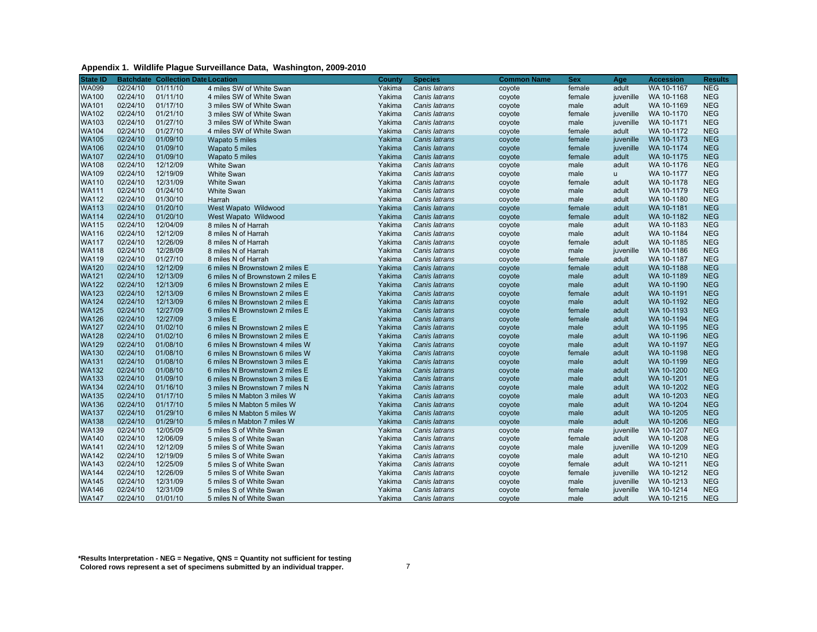| Appendix 1. Wildlife Plague Surveillance Data, Washington, 2009-2010 |  |
|----------------------------------------------------------------------|--|
|----------------------------------------------------------------------|--|

| <b>State ID</b> |          | <b>Batchdate Collection Date Location</b> |                                   | <b>County</b> | <b>Species</b> | <b>Common Name</b> | <b>Sex</b> | Age       | <b>Accession</b> | <b>Results</b> |
|-----------------|----------|-------------------------------------------|-----------------------------------|---------------|----------------|--------------------|------------|-----------|------------------|----------------|
| <b>WA099</b>    | 02/24/10 | 01/11/10                                  | 4 miles SW of White Swan          | Yakima        | Canis latrans  | coyote             | female     | adult     | WA 10-1167       | <b>NEG</b>     |
| <b>WA100</b>    | 02/24/10 | 01/11/10                                  | 4 miles SW of White Swan          | Yakima        | Canis latrans  | coyote             | female     | juvenille | WA 10-1168       | <b>NEG</b>     |
| <b>WA101</b>    | 02/24/10 | 01/17/10                                  | 3 miles SW of White Swan          | Yakima        | Canis latrans  | coyote             | male       | adult     | WA 10-1169       | <b>NEG</b>     |
| <b>WA102</b>    | 02/24/10 | 01/21/10                                  | 3 miles SW of White Swan          | Yakima        | Canis latrans  | coyote             | female     | iuvenille | WA 10-1170       | <b>NEG</b>     |
| <b>WA103</b>    | 02/24/10 | 01/27/10                                  | 3 miles SW of White Swan          | Yakima        | Canis latrans  | coyote             | male       | juvenille | WA 10-1171       | <b>NEG</b>     |
| <b>WA104</b>    | 02/24/10 | 01/27/10                                  | 4 miles SW of White Swan          | Yakima        | Canis latrans  | coyote             | female     | adult     | WA 10-1172       | <b>NEG</b>     |
| <b>WA105</b>    | 02/24/10 | 01/09/10                                  | Wapato 5 miles                    | Yakima        | Canis latrans  | coyote             | female     | juvenille | WA 10-1173       | <b>NEG</b>     |
| <b>WA106</b>    | 02/24/10 | 01/09/10                                  | Wapato 5 miles                    | Yakima        | Canis latrans  | coyote             | female     | juvenille | WA 10-1174       | <b>NEG</b>     |
| <b>WA107</b>    | 02/24/10 | 01/09/10                                  | Wapato 5 miles                    | Yakima        | Canis latrans  | coyote             | female     | adult     | WA 10-1175       | <b>NEG</b>     |
| <b>WA108</b>    | 02/24/10 | 12/12/09                                  | <b>White Swan</b>                 | Yakima        | Canis latrans  | coyote             | male       | adult     | WA 10-1176       | <b>NEG</b>     |
| <b>WA109</b>    | 02/24/10 | 12/19/09                                  | <b>White Swan</b>                 | Yakima        | Canis latrans  | coyote             | male       | u         | WA 10-1177       | <b>NEG</b>     |
| <b>WA110</b>    | 02/24/10 | 12/31/09                                  | <b>White Swan</b>                 | Yakima        | Canis latrans  | coyote             | female     | adult     | WA 10-1178       | <b>NEG</b>     |
| <b>WA111</b>    | 02/24/10 | 01/24/10                                  | <b>White Swan</b>                 | Yakima        | Canis latrans  | coyote             | male       | adult     | WA 10-1179       | <b>NEG</b>     |
| <b>WA112</b>    | 02/24/10 | 01/30/10                                  | Harrah                            | Yakima        | Canis latrans  | coyote             | male       | adult     | WA 10-1180       | <b>NEG</b>     |
| <b>WA113</b>    | 02/24/10 | 01/20/10                                  | West Wapato Wildwood              | Yakima        | Canis latrans  | coyote             | female     | adult     | WA 10-1181       | <b>NEG</b>     |
| <b>WA114</b>    | 02/24/10 | 01/20/10                                  | West Wapato Wildwood              | Yakima        | Canis latrans  | coyote             | female     | adult     | WA 10-1182       | <b>NEG</b>     |
| <b>WA115</b>    | 02/24/10 | 12/04/09                                  | 8 miles N of Harrah               | Yakima        | Canis latrans  | coyote             | male       | adult     | WA 10-1183       | <b>NEG</b>     |
| <b>WA116</b>    | 02/24/10 | 12/12/09                                  | 8 miles N of Harrah               | Yakima        | Canis latrans  | coyote             | male       | adult     | WA 10-1184       | <b>NEG</b>     |
| <b>WA117</b>    | 02/24/10 | 12/26/09                                  | 8 miles N of Harrah               | Yakima        | Canis latrans  | coyote             | female     | adult     | WA 10-1185       | <b>NEG</b>     |
| <b>WA118</b>    | 02/24/10 | 12/28/09                                  | 8 miles N of Harrah               | Yakima        | Canis latrans  | coyote             | male       | juvenille | WA 10-1186       | <b>NEG</b>     |
| <b>WA119</b>    | 02/24/10 | 01/27/10                                  | 8 miles N of Harrah               | Yakima        | Canis latrans  | coyote             | female     | adult     | WA 10-1187       | <b>NEG</b>     |
| <b>WA120</b>    | 02/24/10 | 12/12/09                                  | 6 miles N Brownstown 2 miles E    | Yakima        | Canis latrans  | coyote             | female     | adult     | WA 10-1188       | <b>NEG</b>     |
| <b>WA121</b>    | 02/24/10 | 12/13/09                                  | 6 miles N of Brownstown 2 miles E | Yakima        | Canis latrans  | coyote             | male       | adult     | WA 10-1189       | <b>NEG</b>     |
| <b>WA122</b>    | 02/24/10 | 12/13/09                                  | 6 miles N Brownstown 2 miles E    | Yakima        | Canis latrans  | coyote             | male       | adult     | WA 10-1190       | <b>NEG</b>     |
| <b>WA123</b>    | 02/24/10 | 12/13/09                                  | 6 miles N Brownstown 2 miles E    | Yakima        | Canis latrans  | coyote             | female     | adult     | WA 10-1191       | <b>NEG</b>     |
| <b>WA124</b>    | 02/24/10 | 12/13/09                                  | 6 miles N Brownstown 2 miles E    | Yakima        | Canis latrans  | coyote             | male       | adult     | WA 10-1192       | <b>NEG</b>     |
| <b>WA125</b>    | 02/24/10 | 12/27/09                                  | 6 miles N Brownstown 2 miles E    | Yakima        | Canis latrans  | coyote             | female     | adult     | WA 10-1193       | <b>NEG</b>     |
| <b>WA126</b>    | 02/24/10 | 12/27/09                                  | 3 miles E                         | Yakima        | Canis latrans  | coyote             | female     | adult     | WA 10-1194       | <b>NEG</b>     |
| <b>WA127</b>    | 02/24/10 | 01/02/10                                  | 6 miles N Brownstown 2 miles E    | Yakima        | Canis latrans  | coyote             | male       | adult     | WA 10-1195       | <b>NEG</b>     |
| <b>WA128</b>    | 02/24/10 | 01/02/10                                  | 6 miles N Brownstown 2 miles E    | Yakima        | Canis latrans  | coyote             | male       | adult     | WA 10-1196       | <b>NEG</b>     |
| <b>WA129</b>    | 02/24/10 | 01/08/10                                  | 6 miles N Brownstown 4 miles W    | Yakima        | Canis latrans  | coyote             | male       | adult     | WA 10-1197       | <b>NEG</b>     |
| <b>WA130</b>    | 02/24/10 | 01/08/10                                  | 6 miles N Brownstown 6 miles W    | Yakima        | Canis latrans  | coyote             | female     | adult     | WA 10-1198       | <b>NEG</b>     |
| <b>WA131</b>    | 02/24/10 | 01/08/10                                  | 6 miles N Brownstown 3 miles E    | Yakima        | Canis latrans  | coyote             | male       | adult     | WA 10-1199       | <b>NEG</b>     |
| <b>WA132</b>    | 02/24/10 | 01/08/10                                  | 6 miles N Brownstown 2 miles E    | Yakima        | Canis latrans  | coyote             | male       | adult     | WA 10-1200       | <b>NEG</b>     |
| <b>WA133</b>    | 02/24/10 | 01/09/10                                  | 6 miles N Brownstown 3 miles E    | Yakima        | Canis latrans  | coyote             | male       | adult     | WA 10-1201       | <b>NEG</b>     |
| <b>WA134</b>    | 02/24/10 | 01/16/10                                  | 3 miles N Brownstown 7 miles N    | Yakima        | Canis latrans  | coyote             | male       | adult     | WA 10-1202       | <b>NEG</b>     |
| <b>WA135</b>    | 02/24/10 | 01/17/10                                  | 5 miles N Mabton 3 miles W        | Yakima        | Canis latrans  | coyote             | male       | adult     | WA 10-1203       | <b>NEG</b>     |
| <b>WA136</b>    | 02/24/10 | 01/17/10                                  | 5 miles N Mabton 5 miles W        | Yakima        | Canis latrans  | coyote             | male       | adult     | WA 10-1204       | <b>NEG</b>     |
| <b>WA137</b>    | 02/24/10 | 01/29/10                                  | 6 miles N Mabton 5 miles W        | Yakima        | Canis latrans  | coyote             | male       | adult     | WA 10-1205       | <b>NEG</b>     |
| <b>WA138</b>    | 02/24/10 | 01/29/10                                  | 5 miles n Mabton 7 miles W        | Yakima        | Canis latrans  | coyote             | male       | adult     | WA 10-1206       | <b>NEG</b>     |
| <b>WA139</b>    | 02/24/10 | 12/05/09                                  | 5 miles S of White Swan           | Yakima        | Canis latrans  | coyote             | male       | juvenille | WA 10-1207       | <b>NEG</b>     |
| <b>WA140</b>    | 02/24/10 | 12/06/09                                  | 5 miles S of White Swan           | Yakima        | Canis latrans  | coyote             | female     | adult     | WA 10-1208       | <b>NEG</b>     |
| <b>WA141</b>    | 02/24/10 | 12/12/09                                  | 5 miles S of White Swan           | Yakima        | Canis latrans  | coyote             | male       | juvenille | WA 10-1209       | <b>NEG</b>     |
| <b>WA142</b>    | 02/24/10 | 12/19/09                                  | 5 miles S of White Swan           | Yakima        | Canis latrans  | coyote             | male       | adult     | WA 10-1210       | <b>NEG</b>     |
| <b>WA143</b>    | 02/24/10 | 12/25/09                                  | 5 miles S of White Swan           | Yakima        | Canis latrans  | coyote             | female     | adult     | WA 10-1211       | <b>NEG</b>     |
| <b>WA144</b>    | 02/24/10 | 12/26/09                                  | 5 miles S of White Swan           | Yakima        | Canis latrans  | coyote             | female     | juvenille | WA 10-1212       | <b>NEG</b>     |
| <b>WA145</b>    | 02/24/10 | 12/31/09                                  | 5 miles S of White Swan           | Yakima        | Canis latrans  | coyote             | male       | juvenille | WA 10-1213       | <b>NEG</b>     |
| <b>WA146</b>    | 02/24/10 | 12/31/09                                  | 5 miles S of White Swan           | Yakima        | Canis latrans  |                    | female     | juvenille | WA 10-1214       | <b>NEG</b>     |
| <b>WA147</b>    | 02/24/10 | 01/01/10                                  | 5 miles N of White Swan           | Yakima        | Canis latrans  | coyote<br>coyote   | male       | adult     | WA 10-1215       | <b>NEG</b>     |
|                 |          |                                           |                                   |               |                |                    |            |           |                  |                |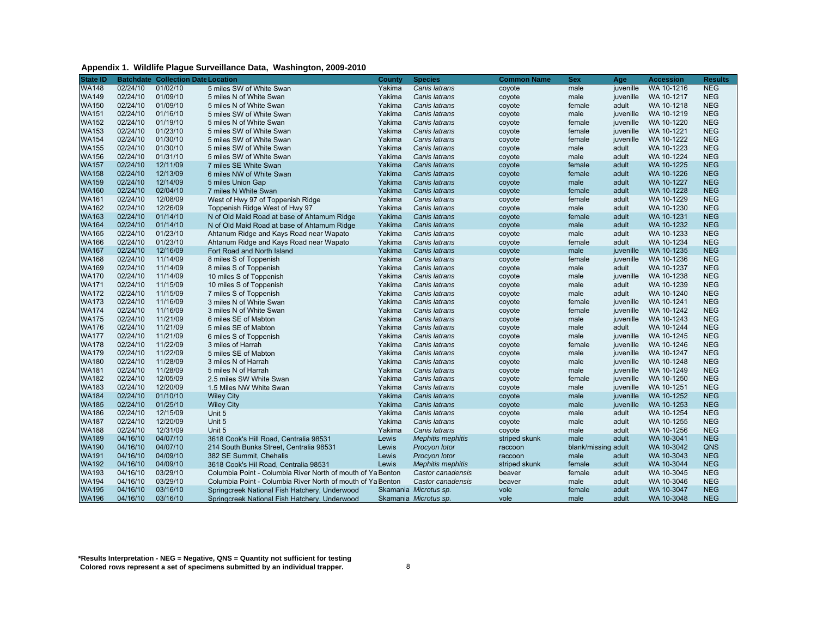#### **Appendix 1. Wildlife Plague Surveillance Data, Washington, 2009-2010**

| <b>State ID</b> |          | <b>Batchdate Collection Date Location</b> |                                                             | County | <b>Species</b>           | <b>Common Name</b> | <b>Sex</b>          | Age       | <b>Accession</b> | <b>Results</b> |
|-----------------|----------|-------------------------------------------|-------------------------------------------------------------|--------|--------------------------|--------------------|---------------------|-----------|------------------|----------------|
| <b>WA148</b>    | 02/24/10 | 01/02/10                                  | 5 miles SW of White Swan                                    | Yakima | Canis latrans            | coyote             | male                | juvenille | WA 10-1216       | <b>NEG</b>     |
| <b>WA149</b>    | 02/24/10 | 01/09/10                                  | 5 miles N of White Swan                                     | Yakima | Canis latrans            | coyote             | male                | iuvenille | WA 10-1217       | <b>NEG</b>     |
| <b>WA150</b>    | 02/24/10 | 01/09/10                                  | 5 miles N of White Swan                                     | Yakima | Canis latrans            | coyote             | female              | adult     | WA 10-1218       | <b>NEG</b>     |
| <b>WA151</b>    | 02/24/10 | 01/16/10                                  | 5 miles SW of White Swan                                    | Yakima | Canis latrans            | coyote             | male                | juvenille | WA 10-1219       | <b>NEG</b>     |
| <b>WA152</b>    | 02/24/10 | 01/19/10                                  | 5 miles N of White Swan                                     | Yakima | Canis latrans            | coyote             | female              | juvenille | WA 10-1220       | <b>NEG</b>     |
| <b>WA153</b>    | 02/24/10 | 01/23/10                                  | 5 miles SW of White Swan                                    | Yakima | Canis latrans            | coyote             | female              | iuvenille | WA 10-1221       | <b>NEG</b>     |
| <b>WA154</b>    | 02/24/10 | 01/30/10                                  | 5 miles SW of White Swan                                    | Yakima | Canis latrans            | coyote             | female              | juvenille | WA 10-1222       | <b>NEG</b>     |
| <b>WA155</b>    | 02/24/10 | 01/30/10                                  | 5 miles SW of White Swan                                    | Yakima | Canis latrans            | coyote             | male                | adult     | WA 10-1223       | <b>NEG</b>     |
| <b>WA156</b>    | 02/24/10 | 01/31/10                                  | 5 miles SW of White Swan                                    | Yakima | Canis latrans            | coyote             | male                | adult     | WA 10-1224       | <b>NEG</b>     |
| <b>WA157</b>    | 02/24/10 | 12/11/09                                  | 7 miles SE White Swan                                       | Yakima | Canis latrans            | coyote             | female              | adult     | WA 10-1225       | <b>NEG</b>     |
| <b>WA158</b>    | 02/24/10 | 12/13/09                                  | 6 miles NW of White Swan                                    | Yakima | Canis latrans            | coyote             | female              | adult     | WA 10-1226       | <b>NEG</b>     |
| <b>WA159</b>    | 02/24/10 | 12/14/09                                  | 5 miles Union Gap                                           | Yakima | Canis latrans            | coyote             | male                | adult     | WA 10-1227       | <b>NEG</b>     |
| <b>WA160</b>    | 02/24/10 | 02/04/10                                  | 7 miles N White Swan                                        | Yakima | Canis latrans            | coyote             | female              | adult     | WA 10-1228       | <b>NEG</b>     |
| <b>WA161</b>    | 02/24/10 | 12/08/09                                  | West of Hwy 97 of Toppenish Ridge                           | Yakima | Canis latrans            | coyote             | female              | adult     | WA 10-1229       | <b>NEG</b>     |
| <b>WA162</b>    | 02/24/10 | 12/26/09                                  | Toppenish Ridge West of Hwy 97                              | Yakima | Canis latrans            | coyote             | male                | adult     | WA 10-1230       | <b>NEG</b>     |
| <b>WA163</b>    | 02/24/10 | 01/14/10                                  | N of Old Maid Road at base of Ahtamum Ridge                 | Yakima | Canis latrans            | coyote             | female              | adult     | WA 10-1231       | <b>NEG</b>     |
| <b>WA164</b>    | 02/24/10 | 01/14/10                                  | N of Old Maid Road at base of Ahtamum Ridge                 | Yakima | Canis latrans            | coyote             | male                | adult     | WA 10-1232       | <b>NEG</b>     |
| <b>WA165</b>    | 02/24/10 | 01/23/10                                  | Ahtanum Ridge and Kays Road near Wapato                     | Yakima | Canis latrans            | coyote             | male                | adult     | WA 10-1233       | <b>NEG</b>     |
| <b>WA166</b>    | 02/24/10 | 01/23/10                                  | Ahtanum Ridge and Kays Road near Wapato                     | Yakima | Canis latrans            | coyote             | female              | adult     | WA 10-1234       | <b>NEG</b>     |
| <b>WA167</b>    | 02/24/10 | 12/16/09                                  | Fort Road and North Island                                  | Yakima | Canis latrans            | coyote             | male                | iuvenille | WA 10-1235       | <b>NEG</b>     |
| <b>WA168</b>    | 02/24/10 | 11/14/09                                  | 8 miles S of Toppenish                                      | Yakima | Canis latrans            | coyote             | female              | juvenille | WA 10-1236       | <b>NEG</b>     |
| <b>WA169</b>    | 02/24/10 | 11/14/09                                  | 8 miles S of Toppenish                                      | Yakima | Canis latrans            | coyote             | male                | adult     | WA 10-1237       | <b>NEG</b>     |
| <b>WA170</b>    | 02/24/10 | 11/14/09                                  | 10 miles S of Toppenish                                     | Yakima | Canis latrans            | coyote             | male                | juvenille | WA 10-1238       | <b>NEG</b>     |
| <b>WA171</b>    | 02/24/10 | 11/15/09                                  | 10 miles S of Toppenish                                     | Yakima | Canis latrans            | coyote             | male                | adult     | WA 10-1239       | <b>NEG</b>     |
| <b>WA172</b>    | 02/24/10 | 11/15/09                                  | 7 miles S of Toppenish                                      | Yakima | Canis latrans            | coyote             | male                | adult     | WA 10-1240       | <b>NEG</b>     |
| <b>WA173</b>    | 02/24/10 | 11/16/09                                  | 3 miles N of White Swan                                     | Yakima | Canis latrans            | coyote             | female              | juvenille | WA 10-1241       | <b>NEG</b>     |
| <b>WA174</b>    | 02/24/10 | 11/16/09                                  | 3 miles N of White Swan                                     | Yakima | Canis latrans            | coyote             | female              | juvenille | WA 10-1242       | <b>NEG</b>     |
| <b>WA175</b>    | 02/24/10 | 11/21/09                                  | 6 miles SE of Mabton                                        | Yakima | Canis latrans            | coyote             | male                | juvenille | WA 10-1243       | <b>NEG</b>     |
| <b>WA176</b>    | 02/24/10 | 11/21/09                                  | 5 miles SE of Mabton                                        | Yakima | Canis latrans            | coyote             | male                | adult     | WA 10-1244       | <b>NEG</b>     |
| <b>WA177</b>    | 02/24/10 | 11/21/09                                  | 6 miles S of Toppenish                                      | Yakima | Canis latrans            | coyote             | male                | juvenille | WA 10-1245       | <b>NEG</b>     |
| <b>WA178</b>    | 02/24/10 | 11/22/09                                  | 3 miles of Harrah                                           | Yakima | Canis latrans            | coyote             | female              | juvenille | WA 10-1246       | <b>NEG</b>     |
| <b>WA179</b>    | 02/24/10 | 11/22/09                                  | 5 miles SE of Mabton                                        | Yakima | Canis latrans            | coyote             | male                | juvenille | WA 10-1247       | <b>NEG</b>     |
| <b>WA180</b>    | 02/24/10 | 11/28/09                                  | 3 miles N of Harrah                                         | Yakima | Canis latrans            | coyote             | male                | juvenille | WA 10-1248       | <b>NEG</b>     |
| <b>WA181</b>    | 02/24/10 | 11/28/09                                  | 5 miles N of Harrah                                         | Yakima | Canis latrans            | coyote             | male                | juvenille | WA 10-1249       | <b>NEG</b>     |
| <b>WA182</b>    | 02/24/10 | 12/05/09                                  | 2.5 miles SW White Swan                                     | Yakima | Canis latrans            | coyote             | female              | juvenille | WA 10-1250       | <b>NEG</b>     |
| <b>WA183</b>    | 02/24/10 | 12/20/09                                  | 1.5 Miles NW White Swan                                     | Yakima | Canis latrans            | coyote             | male                | juvenille | WA 10-1251       | <b>NEG</b>     |
| <b>WA184</b>    | 02/24/10 | 01/10/10                                  | <b>Wiley City</b>                                           | Yakima | Canis latrans            | coyote             | male                | juvenille | WA 10-1252       | <b>NEG</b>     |
| <b>WA185</b>    | 02/24/10 | 01/25/10                                  | <b>Wiley City</b>                                           | Yakima | Canis latrans            | coyote             | male                | juvenille | WA 10-1253       | <b>NEG</b>     |
| <b>WA186</b>    | 02/24/10 | 12/15/09                                  | Unit 5                                                      | Yakima | Canis latrans            | coyote             | male                | adult     | WA 10-1254       | <b>NEG</b>     |
| <b>WA187</b>    | 02/24/10 | 12/20/09                                  | Unit 5                                                      | Yakima | Canis latrans            | coyote             | male                | adult     | WA 10-1255       | <b>NEG</b>     |
| <b>WA188</b>    | 02/24/10 | 12/31/09                                  | Unit 5                                                      | Yakima | Canis latrans            | coyote             | male                | adult     | WA 10-1256       | <b>NEG</b>     |
| <b>WA189</b>    | 04/16/10 | 04/07/10                                  | 3618 Cook's Hill Road, Centralia 98531                      | Lewis  | <b>Mephitis mephitis</b> | striped skunk      | male                | adult     | WA 10-3041       | <b>NEG</b>     |
| <b>WA190</b>    | 04/16/10 | 04/07/10                                  | 214 South Bunks Street, Centralia 98531                     | Lewis  | Procyon lotor            | raccoon            | blank/missing adult |           | WA 10-3042       | QNS            |
| <b>WA191</b>    | 04/16/10 | 04/09/10                                  | 382 SE Summit, Chehalis                                     | Lewis  | Procyon lotor            | raccoon            | male                | adult     | WA 10-3043       | <b>NEG</b>     |
| <b>WA192</b>    | 04/16/10 | 04/09/10                                  | 3618 Cook's Hil Road, Centralia 98531                       | Lewis  | <b>Mephitis mephitis</b> | striped skunk      | female              | adult     | WA 10-3044       | <b>NEG</b>     |
| <b>WA193</b>    | 04/16/10 | 03/29/10                                  | Columbia Point - Columbia River North of mouth of Ya Benton |        | Castor canadensis        | beaver             | female              | adult     | WA 10-3045       | <b>NEG</b>     |
| <b>WA194</b>    | 04/16/10 | 03/29/10                                  | Columbia Point - Columbia River North of mouth of Ya Benton |        | Castor canadensis        | beaver             | male                | adult     | WA 10-3046       | <b>NEG</b>     |
| <b>WA195</b>    | 04/16/10 | 03/16/10                                  | Springcreek National Fish Hatchery, Underwood               |        | Skamania Microtus sp.    | vole               | female              | adult     | WA 10-3047       | <b>NEG</b>     |
| <b>WA196</b>    | 04/16/10 | 03/16/10                                  | Springcreek National Fish Hatchery, Underwood               |        | Skamania Microtus sp.    | vole               | male                | adult     | WA 10-3048       | <b>NEG</b>     |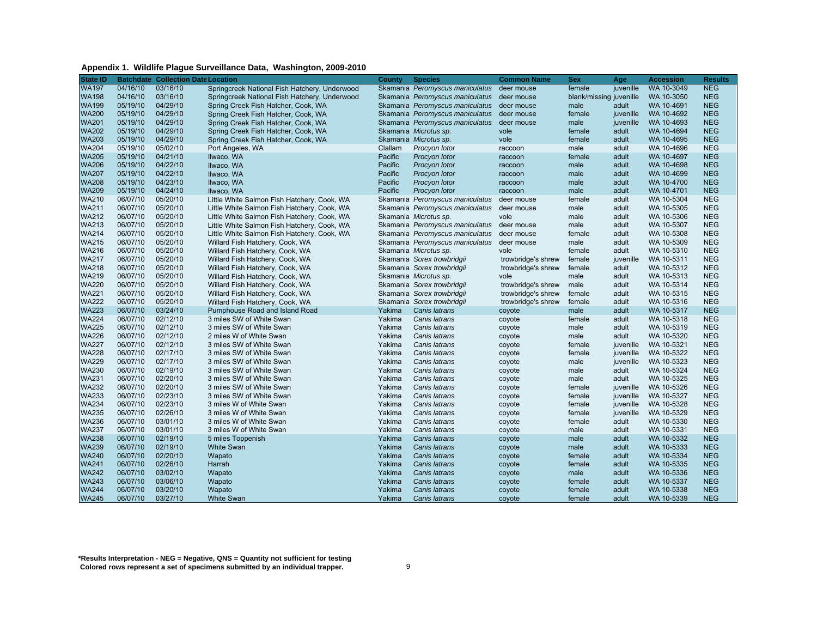#### **Appendix 1. Wildlife Plague Surveillance Data, Washington, 2009-2010**

| <b>State ID</b> |          | <b>Batchdate Collection Date Location</b> |                                               | County  | <b>Species</b>                  | <b>Common Name</b> | <b>Sex</b>              | Age       | <b>Accession</b> | <b>Results</b> |
|-----------------|----------|-------------------------------------------|-----------------------------------------------|---------|---------------------------------|--------------------|-------------------------|-----------|------------------|----------------|
| <b>WA197</b>    | 04/16/10 | 03/16/10                                  | Springcreek National Fish Hatchery, Underwood |         | Skamania Peromyscus maniculatus | deer mouse         | female                  | juvenille | WA 10-3049       | <b>NEG</b>     |
| <b>WA198</b>    | 04/16/10 | 03/16/10                                  | Springcreek National Fish Hatchery, Underwood |         | Skamania Peromyscus maniculatus | deer mouse         | blank/missing juvenille |           | WA 10-3050       | <b>NEG</b>     |
| <b>WA199</b>    | 05/19/10 | 04/29/10                                  | Spring Creek Fish Hatcher, Cook, WA           |         | Skamania Peromyscus maniculatus | deer mouse         | male                    | adult     | WA 10-4691       | <b>NEG</b>     |
| <b>WA200</b>    | 05/19/10 | 04/29/10                                  | Spring Creek Fish Hatcher, Cook, WA           |         | Skamania Peromyscus maniculatus | deer mouse         | female                  | juvenille | WA 10-4692       | <b>NEG</b>     |
| <b>WA201</b>    | 05/19/10 | 04/29/10                                  | Spring Creek Fish Hatcher, Cook, WA           |         | Skamania Peromyscus maniculatus | deer mouse         | male                    | juvenille | WA 10-4693       | <b>NEG</b>     |
| <b>WA202</b>    | 05/19/10 | 04/29/10                                  | Spring Creek Fish Hatcher, Cook, WA           |         | Skamania Microtus sp.           | vole               | female                  | adult     | WA 10-4694       | <b>NEG</b>     |
| <b>WA203</b>    | 05/19/10 | 04/29/10                                  | Spring Creek Fish Hatcher, Cook, WA           |         | Skamania Microtus sp.           | vole               | female                  | adult     | WA 10-4695       | <b>NEG</b>     |
| <b>WA204</b>    | 05/19/10 | 05/02/10                                  | Port Angeles, WA                              | Clallam | Procyon lotor                   | raccoon            | male                    | adult     | WA 10-4696       | <b>NEG</b>     |
| <b>WA205</b>    | 05/19/10 | 04/21/10                                  | Ilwaco, WA                                    | Pacific | Procyon lotor                   | raccoon            | female                  | adult     | WA 10-4697       | <b>NEG</b>     |
| <b>WA206</b>    | 05/19/10 | 04/22/10                                  | Ilwaco, WA                                    | Pacific | Procyon lotor                   | raccoon            | male                    | adult     | WA 10-4698       | <b>NEG</b>     |
| <b>WA207</b>    | 05/19/10 | 04/22/10                                  | Ilwaco, WA                                    | Pacific | Procyon lotor                   | raccoon            | male                    | adult     | WA 10-4699       | <b>NEG</b>     |
| <b>WA208</b>    | 05/19/10 | 04/23/10                                  | Ilwaco, WA                                    | Pacific | Procyon lotor                   | raccoon            | male                    | adult     | WA 10-4700       | <b>NEG</b>     |
| <b>WA209</b>    | 05/19/10 | 04/24/10                                  | Ilwaco, WA                                    | Pacific | Procyon lotor                   | raccoon            | male                    | adult     | WA 10-4701       | <b>NEG</b>     |
| <b>WA210</b>    | 06/07/10 | 05/20/10                                  | Little White Salmon Fish Hatchery, Cook, WA   |         | Skamania Peromyscus maniculatus | deer mouse         | female                  | adult     | WA 10-5304       | <b>NEG</b>     |
| <b>WA211</b>    | 06/07/10 | 05/20/10                                  | Little White Salmon Fish Hatchery, Cook, WA   |         | Skamania Peromyscus maniculatus | deer mouse         | male                    | adult     | WA 10-5305       | <b>NEG</b>     |
| <b>WA212</b>    | 06/07/10 | 05/20/10                                  | Little White Salmon Fish Hatchery, Cook, WA   |         | Skamania Microtus sp.           | vole               | male                    | adult     | WA 10-5306       | <b>NEG</b>     |
| <b>WA213</b>    | 06/07/10 | 05/20/10                                  | Little White Salmon Fish Hatchery, Cook, WA   |         | Skamania Peromyscus maniculatus | deer mouse         | male                    | adult     | WA 10-5307       | <b>NEG</b>     |
| <b>WA214</b>    | 06/07/10 | 05/20/10                                  | Little White Salmon Fish Hatchery, Cook, WA   |         | Skamania Peromyscus maniculatus | deer mouse         | female                  | adult     | WA 10-5308       | <b>NEG</b>     |
| <b>WA215</b>    | 06/07/10 | 05/20/10                                  | Willard Fish Hatchery, Cook, WA               |         | Skamania Peromyscus maniculatus | deer mouse         | male                    | adult     | WA 10-5309       | <b>NEG</b>     |
| <b>WA216</b>    | 06/07/10 | 05/20/10                                  | Willard Fish Hatchery, Cook, WA               |         | Skamania Microtus sp.           | vole               | female                  | adult     | WA 10-5310       | <b>NEG</b>     |
| <b>WA217</b>    | 06/07/10 | 05/20/10                                  | Willard Fish Hatchery, Cook, WA               |         | Skamania Sorex trowbridgii      | trowbridge's shrew | female                  | juvenille | WA 10-5311       | <b>NEG</b>     |
| <b>WA218</b>    | 06/07/10 | 05/20/10                                  | Willard Fish Hatchery, Cook, WA               |         | Skamania Sorex trowbridgii      | trowbridge's shrew | female                  | adult     | WA 10-5312       | <b>NEG</b>     |
| <b>WA219</b>    | 06/07/10 | 05/20/10                                  | Willard Fish Hatchery, Cook, WA               |         | Skamania Microtus sp.           | vole               | male                    | adult     | WA 10-5313       | <b>NEG</b>     |
| <b>WA220</b>    | 06/07/10 | 05/20/10                                  | Willard Fish Hatchery, Cook, WA               |         | Skamania Sorex trowbridgii      | trowbridge's shrew | male                    | adult     | WA 10-5314       | <b>NEG</b>     |
| <b>WA221</b>    | 06/07/10 | 05/20/10                                  | Willard Fish Hatchery, Cook, WA               |         | Skamania Sorex trowbridgii      | trowbridge's shrew | female                  | adult     | WA 10-5315       | <b>NEG</b>     |
| <b>WA222</b>    | 06/07/10 | 05/20/10                                  | Willard Fish Hatchery, Cook, WA               |         | Skamania Sorex trowbridgii      | trowbridge's shrew | female                  | adult     | WA 10-5316       | <b>NEG</b>     |
| <b>WA223</b>    | 06/07/10 | 03/24/10                                  | Pumphouse Road and Island Road                | Yakima  | Canis latrans                   | coyote             | male                    | adult     | WA 10-5317       | <b>NEG</b>     |
| <b>WA224</b>    | 06/07/10 | 02/12/10                                  | 3 miles SW of White Swan                      | Yakima  | Canis latrans                   | coyote             | female                  | adult     | WA 10-5318       | <b>NEG</b>     |
| <b>WA225</b>    | 06/07/10 | 02/12/10                                  | 3 miles SW of White Swan                      | Yakima  | Canis latrans                   | coyote             | male                    | adult     | WA 10-5319       | <b>NEG</b>     |
| <b>WA226</b>    | 06/07/10 | 02/12/10                                  | 2 miles W of White Swan                       | Yakima  | Canis latrans                   | coyote             | male                    | adult     | WA 10-5320       | <b>NEG</b>     |
| <b>WA227</b>    | 06/07/10 | 02/12/10                                  | 3 miles SW of White Swan                      | Yakima  | Canis latrans                   | coyote             | female                  | juvenille | WA 10-5321       | <b>NEG</b>     |
| <b>WA228</b>    | 06/07/10 | 02/17/10                                  | 3 miles SW of White Swan                      | Yakima  | Canis latrans                   | coyote             | female                  | juvenille | WA 10-5322       | <b>NEG</b>     |
| <b>WA229</b>    | 06/07/10 | 02/17/10                                  | 3 miles SW of White Swan                      | Yakima  | Canis latrans                   | coyote             | male                    | juvenille | WA 10-5323       | <b>NEG</b>     |
| <b>WA230</b>    | 06/07/10 | 02/19/10                                  | 3 miles SW of White Swan                      | Yakima  | Canis latrans                   | coyote             | male                    | adult     | WA 10-5324       | <b>NEG</b>     |
| <b>WA231</b>    | 06/07/10 | 02/20/10                                  | 3 miles SW of White Swan                      | Yakima  | Canis latrans                   | coyote             | male                    | adult     | WA 10-5325       | <b>NEG</b>     |
| <b>WA232</b>    | 06/07/10 | 02/20/10                                  | 3 miles SW of White Swan                      | Yakima  | Canis latrans                   | coyote             | female                  | juvenille | WA 10-5326       | <b>NEG</b>     |
| <b>WA233</b>    | 06/07/10 | 02/23/10                                  | 3 miles SW of White Swan                      | Yakima  | Canis latrans                   | coyote             | female                  | juvenille | WA 10-5327       | <b>NEG</b>     |
| <b>WA234</b>    | 06/07/10 | 02/23/10                                  | 3 miles W of White Swan                       | Yakima  | Canis latrans                   | coyote             | female                  | juvenille | WA 10-5328       | <b>NEG</b>     |
| <b>WA235</b>    | 06/07/10 | 02/26/10                                  | 3 miles W of White Swan                       | Yakima  | Canis latrans                   | coyote             | female                  | juvenille | WA 10-5329       | <b>NEG</b>     |
| <b>WA236</b>    | 06/07/10 | 03/01/10                                  | 3 miles W of White Swan                       | Yakima  | Canis latrans                   | coyote             | female                  | adult     | WA 10-5330       | <b>NEG</b>     |
| <b>WA237</b>    | 06/07/10 | 03/01/10                                  | 3 miles W of White Swan                       | Yakima  | Canis latrans                   | coyote             | male                    | adult     | WA 10-5331       | <b>NEG</b>     |
| <b>WA238</b>    | 06/07/10 | 02/19/10                                  | 5 miles Toppenish                             | Yakima  | Canis latrans                   | coyote             | male                    | adult     | WA 10-5332       | <b>NEG</b>     |
| <b>WA239</b>    | 06/07/10 | 02/19/10                                  | <b>White Swan</b>                             | Yakima  | Canis latrans                   | coyote             | male                    | adult     | WA 10-5333       | <b>NEG</b>     |
| <b>WA240</b>    | 06/07/10 | 02/20/10                                  | Wapato                                        | Yakima  | Canis latrans                   | coyote             | female                  | adult     | WA 10-5334       | <b>NEG</b>     |
| <b>WA241</b>    | 06/07/10 | 02/26/10                                  | Harrah                                        | Yakima  | Canis latrans                   | coyote             | female                  | adult     | WA 10-5335       | <b>NEG</b>     |
| <b>WA242</b>    | 06/07/10 | 03/02/10                                  | Wapato                                        | Yakima  | Canis latrans                   | coyote             | male                    | adult     | WA 10-5336       | <b>NEG</b>     |
| <b>WA243</b>    | 06/07/10 | 03/06/10                                  | Wapato                                        | Yakima  | Canis latrans                   | coyote             | female                  | adult     | WA 10-5337       | <b>NEG</b>     |
| <b>WA244</b>    | 06/07/10 | 03/20/10                                  | Wapato                                        | Yakima  | Canis latrans                   | coyote             | female                  | adult     | WA 10-5338       | <b>NEG</b>     |
| <b>WA245</b>    | 06/07/10 | 03/27/10                                  | <b>White Swan</b>                             | Yakima  | Canis latrans                   | coyote             | female                  | adult     | WA 10-5339       | <b>NEG</b>     |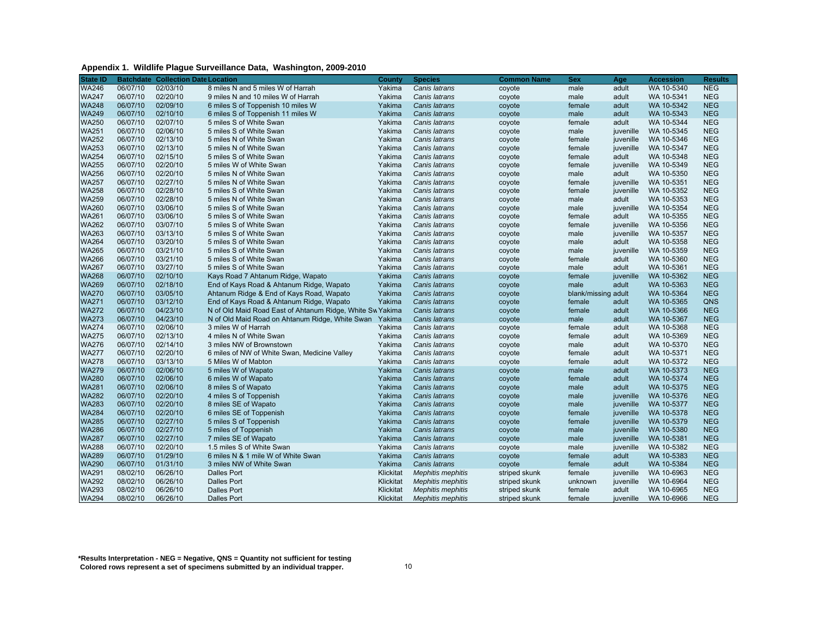| Appendix 1. Wildlife Plague Surveillance Data, Washington, 2009-2010 |  |
|----------------------------------------------------------------------|--|
|----------------------------------------------------------------------|--|

| <b>State ID</b> |          | <b>Batchdate Collection Date Location</b> |                                                           | County    | <b>Species</b>           | <b>Common Name</b> | Sex                 | Age              | <b>Accession</b> | <b>Results</b> |
|-----------------|----------|-------------------------------------------|-----------------------------------------------------------|-----------|--------------------------|--------------------|---------------------|------------------|------------------|----------------|
| <b>WA246</b>    | 06/07/10 | 02/03/10                                  | 8 miles N and 5 miles W of Harrah                         | Yakima    | Canis latrans            | coyote             | male                | adult            | WA 10-5340       | <b>NEG</b>     |
| <b>WA247</b>    | 06/07/10 | 02/20/10                                  | 9 miles N and 10 miles W of Harrah                        | Yakima    | Canis latrans            | coyote             | male                | adult            | WA 10-5341       | <b>NEG</b>     |
| <b>WA248</b>    | 06/07/10 | 02/09/10                                  | 6 miles S of Toppenish 10 miles W                         | Yakima    | Canis latrans            | coyote             | female              | adult            | WA 10-5342       | <b>NEG</b>     |
| <b>WA249</b>    | 06/07/10 | 02/10/10                                  | 6 miles S of Toppenish 11 miles W                         | Yakima    | Canis latrans            | coyote             | male                | adult            | WA 10-5343       | <b>NEG</b>     |
| <b>WA250</b>    | 06/07/10 | 02/07/10                                  | 5 miles S of White Swan                                   | Yakima    | Canis latrans            | coyote             | female              | adult            | WA 10-5344       | <b>NEG</b>     |
| <b>WA251</b>    | 06/07/10 | 02/06/10                                  | 5 miles S of White Swan                                   | Yakima    | Canis latrans            | coyote             | male                | juvenille        | WA 10-5345       | <b>NEG</b>     |
| <b>WA252</b>    | 06/07/10 | 02/13/10                                  | 5 miles N of White Swan                                   | Yakima    | Canis latrans            | coyote             | female              | juvenille        | WA 10-5346       | <b>NEG</b>     |
| <b>WA253</b>    | 06/07/10 | 02/13/10                                  | 5 miles N of White Swan                                   | Yakima    | Canis latrans            | coyote             | female              | iuvenille        | WA 10-5347       | <b>NEG</b>     |
| <b>WA254</b>    | 06/07/10 | 02/15/10                                  | 5 miles S of White Swan                                   | Yakima    | Canis latrans            | coyote             | female              | adult            | WA 10-5348       | <b>NEG</b>     |
| <b>WA255</b>    | 06/07/10 | 02/20/10                                  | 5 miles W of White Swan                                   | Yakima    | Canis latrans            | coyote             | female              | juvenille        | WA 10-5349       | <b>NEG</b>     |
| <b>WA256</b>    | 06/07/10 | 02/20/10                                  | 5 miles N of White Swan                                   | Yakima    | Canis latrans            | coyote             | male                | adult            | WA 10-5350       | <b>NEG</b>     |
| <b>WA257</b>    | 06/07/10 | 02/27/10                                  | 5 miles N of White Swan                                   | Yakima    | Canis latrans            | coyote             | female              | iuvenille        | WA 10-5351       | <b>NEG</b>     |
| WA258           | 06/07/10 | 02/28/10                                  | 5 miles S of White Swan                                   | Yakima    | Canis latrans            | coyote             | female              | juvenille        | WA 10-5352       | <b>NEG</b>     |
| <b>WA259</b>    | 06/07/10 | 02/28/10                                  | 5 miles N of White Swan                                   | Yakima    | Canis latrans            | coyote             | male                | adult            | WA 10-5353       | <b>NEG</b>     |
| <b>WA260</b>    | 06/07/10 | 03/06/10                                  | 5 miles S of White Swan                                   | Yakima    | Canis latrans            | coyote             | male                | juvenille        | WA 10-5354       | <b>NEG</b>     |
| <b>WA261</b>    | 06/07/10 | 03/06/10                                  | 5 miles S of White Swan                                   | Yakima    | Canis latrans            | coyote             | female              | adult            | WA 10-5355       | <b>NEG</b>     |
| <b>WA262</b>    | 06/07/10 | 03/07/10                                  | 5 miles S of White Swan                                   | Yakima    | Canis latrans            | coyote             | female              | juvenille        | WA 10-5356       | <b>NEG</b>     |
| <b>WA263</b>    | 06/07/10 | 03/13/10                                  | 5 miles S of White Swan                                   | Yakima    | Canis latrans            | coyote             | male                | juvenille        | WA 10-5357       | <b>NEG</b>     |
| <b>WA264</b>    | 06/07/10 | 03/20/10                                  | 5 miles S of White Swan                                   | Yakima    | Canis latrans            | coyote             | male                | adult            | WA 10-5358       | <b>NEG</b>     |
| <b>WA265</b>    | 06/07/10 | 03/21/10                                  | 5 miles S of White Swan                                   | Yakima    | Canis latrans            | coyote             | male                | juvenille        | WA 10-5359       | <b>NEG</b>     |
| <b>WA266</b>    | 06/07/10 | 03/21/10                                  | 5 miles S of White Swan                                   | Yakima    | Canis latrans            | coyote             | female              | adult            | WA 10-5360       | <b>NEG</b>     |
| <b>WA267</b>    | 06/07/10 | 03/27/10                                  | 5 miles S of White Swan                                   | Yakima    | Canis latrans            | coyote             | male                | adult            | WA 10-5361       | <b>NEG</b>     |
| <b>WA268</b>    | 06/07/10 | 02/10/10                                  | Kays Road 7 Ahtanum Ridge, Wapato                         | Yakima    | Canis latrans            | coyote             | female              | juvenille        | WA 10-5362       | <b>NEG</b>     |
| <b>WA269</b>    | 06/07/10 | 02/18/10                                  | End of Kays Road & Ahtanum Ridge, Wapato                  | Yakima    | Canis latrans            | coyote             | male                | adult            | WA 10-5363       | <b>NEG</b>     |
| <b>WA270</b>    | 06/07/10 | 03/05/10                                  | Ahtanum Ridge & End of Kays Road, Wapato                  | Yakima    | Canis latrans            | coyote             | blank/missing adult |                  | WA 10-5364       | <b>NEG</b>     |
| <b>WA271</b>    | 06/07/10 | 03/12/10                                  | End of Kays Road & Ahtanum Ridge, Wapato                  | Yakima    | Canis latrans            | coyote             | female              | adult            | WA 10-5365       | QNS            |
| <b>WA272</b>    | 06/07/10 | 04/23/10                                  | N of Old Maid Road East of Ahtanum Ridge, White Sw Yakima |           | Canis latrans            | coyote             | female              | adult            | WA 10-5366       | <b>NEG</b>     |
| <b>WA273</b>    | 06/07/10 | 04/23/10                                  | N of Old Maid Road on Ahtanum Ridge, White Swan           | Yakima    | Canis latrans            | coyote             | male                | adult            | WA 10-5367       | <b>NEG</b>     |
| <b>WA274</b>    | 06/07/10 | 02/06/10                                  | 3 miles W of Harrah                                       | Yakima    | Canis latrans            | coyote             | female              | adult            | WA 10-5368       | <b>NEG</b>     |
| <b>WA275</b>    | 06/07/10 | 02/13/10                                  | 4 miles N of White Swan                                   | Yakima    | Canis latrans            | coyote             | female              | adult            | WA 10-5369       | <b>NEG</b>     |
| <b>WA276</b>    | 06/07/10 | 02/14/10                                  | 3 miles NW of Brownstown                                  | Yakima    | Canis latrans            | coyote             | male                | adult            | WA 10-5370       | <b>NEG</b>     |
| <b>WA277</b>    | 06/07/10 | 02/20/10                                  | 6 miles of NW of White Swan, Medicine Valley              | Yakima    | Canis latrans            | coyote             | female              | adult            | WA 10-5371       | <b>NEG</b>     |
| <b>WA278</b>    | 06/07/10 | 03/13/10                                  | 5 Miles W of Mabton                                       | Yakima    | Canis latrans            | coyote             | female              | adult            | WA 10-5372       | <b>NEG</b>     |
| <b>WA279</b>    | 06/07/10 | 02/06/10                                  | 5 miles W of Wapato                                       | Yakima    | Canis latrans            | coyote             | male                | adult            | WA 10-5373       | <b>NEG</b>     |
| <b>WA280</b>    | 06/07/10 | 02/06/10                                  | 6 miles W of Wapato                                       | Yakima    | Canis latrans            | coyote             | female              | adult            | WA 10-5374       | <b>NEG</b>     |
| <b>WA281</b>    | 06/07/10 | 02/06/10                                  | 8 miles S of Wapato                                       | Yakima    | Canis latrans            | coyote             | male                | adult            | WA 10-5375       | <b>NEG</b>     |
| <b>WA282</b>    | 06/07/10 | 02/20/10                                  | 4 miles S of Toppenish                                    | Yakima    | Canis latrans            | coyote             | male                | juvenille        | WA 10-5376       | <b>NEG</b>     |
| <b>WA283</b>    | 06/07/10 | 02/20/10                                  | 8 miles SE of Wapato                                      | Yakima    | Canis latrans            | coyote             | male                | juvenille        | WA 10-5377       | <b>NEG</b>     |
| <b>WA284</b>    | 06/07/10 | 02/20/10                                  | 6 miles SE of Toppenish                                   | Yakima    | Canis latrans            | coyote             | female              | <i>iuvenille</i> | WA 10-5378       | <b>NEG</b>     |
| <b>WA285</b>    | 06/07/10 | 02/27/10                                  | 5 miles S of Toppenish                                    | Yakima    | Canis latrans            | coyote             | female              | juvenille        | WA 10-5379       | <b>NEG</b>     |
| <b>WA286</b>    | 06/07/10 | 02/27/10                                  | 5 miles of Toppenish                                      | Yakima    | Canis latrans            | coyote             | male                | juvenille        | WA 10-5380       | <b>NEG</b>     |
| <b>WA287</b>    | 06/07/10 | 02/27/10                                  | 7 miles SE of Wapato                                      | Yakima    | Canis latrans            | coyote             | male                | juvenille        | WA 10-5381       | <b>NEG</b>     |
| <b>WA288</b>    | 06/07/10 | 02/20/10                                  | 1.5 miles S of White Swan                                 | Yakima    | Canis latrans            | coyote             | male                | juvenille        | WA 10-5382       | <b>NEG</b>     |
| <b>WA289</b>    | 06/07/10 | 01/29/10                                  | 6 miles N & 1 mile W of White Swan                        | Yakima    | Canis latrans            | coyote             | female              | adult            | WA 10-5383       | <b>NEG</b>     |
| <b>WA290</b>    | 06/07/10 | 01/31/10                                  | 3 miles NW of White Swan                                  | Yakima    | Canis latrans            | coyote             | female              | adult            | WA 10-5384       | <b>NEG</b>     |
| <b>WA291</b>    | 08/02/10 | 06/26/10                                  | <b>Dalles Port</b>                                        | Klickitat | <b>Mephitis mephitis</b> | striped skunk      | female              | juvenille        | WA 10-6963       | <b>NEG</b>     |
| <b>WA292</b>    | 08/02/10 | 06/26/10                                  | <b>Dalles Port</b>                                        | Klickitat | <b>Mephitis mephitis</b> | striped skunk      | unknown             | juvenille        | WA 10-6964       | <b>NEG</b>     |
| <b>WA293</b>    | 08/02/10 | 06/26/10                                  | <b>Dalles Port</b>                                        | Klickitat | <b>Mephitis mephitis</b> | striped skunk      | female              | adult            | WA 10-6965       | <b>NEG</b>     |
| <b>WA294</b>    | 08/02/10 | 06/26/10                                  | <b>Dalles Port</b>                                        | Klickitat | <b>Mephitis mephitis</b> | striped skunk      | female              | iuvenille        | WA 10-6966       | <b>NEG</b>     |